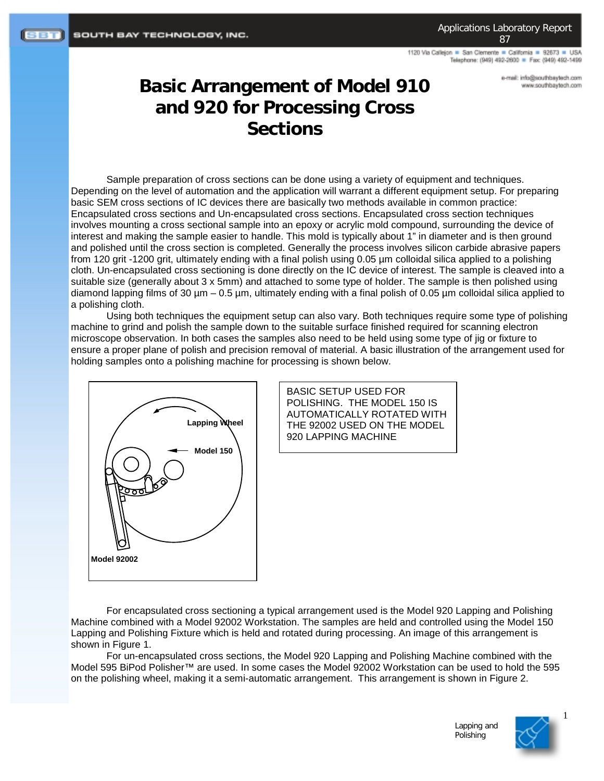1120 Via Callejon = San Clemente = California = 92673 = USA Telephone: (949) 492-2600 = Fax: (949) 492-1499

> e-mail: info@southbaytech.com www.southbaytech.com

## **Basic Arrangement of Model 910 and 920 for Processing Cross Sections**

Sample preparation of cross sections can be done using a variety of equipment and techniques. Depending on the level of automation and the application will warrant a different equipment setup. For preparing basic SEM cross sections of IC devices there are basically two methods available in common practice: Encapsulated cross sections and Un-encapsulated cross sections. Encapsulated cross section techniques involves mounting a cross sectional sample into an epoxy or acrylic mold compound, surrounding the device of interest and making the sample easier to handle. This mold is typically about 1" in diameter and is then ground and polished until the cross section is completed. Generally the process involves silicon carbide abrasive papers from 120 grit -1200 grit, ultimately ending with a final polish using 0.05 µm colloidal silica applied to a polishing cloth. Un-encapsulated cross sectioning is done directly on the IC device of interest. The sample is cleaved into a suitable size (generally about 3 x 5mm) and attached to some type of holder. The sample is then polished using diamond lapping films of 30  $\mu$ m – 0.5  $\mu$ m, ultimately ending with a final polish of 0.05  $\mu$ m colloidal silica applied to a polishing cloth.

Using both techniques the equipment setup can also vary. Both techniques require some type of polishing machine to grind and polish the sample down to the suitable surface finished required for scanning electron microscope observation. In both cases the samples also need to be held using some type of jig or fixture to ensure a proper plane of polish and precision removal of material. A basic illustration of the arrangement used for holding samples onto a polishing machine for processing is shown below.



BASIC SETUP USED FOR POLISHING. THE MODEL 150 IS AUTOMATICALLY ROTATED WITH THE 92002 USED ON THE MODEL 920 LAPPING MACHINE

For encapsulated cross sectioning a typical arrangement used is the Model 920 Lapping and Polishing Machine combined with a Model 92002 Workstation. The samples are held and controlled using the Model 150 Lapping and Polishing Fixture which is held and rotated during processing. An image of this arrangement is shown in Figure 1.

For un-encapsulated cross sections, the Model 920 Lapping and Polishing Machine combined with the Model 595 BiPod Polisher™ are used. In some cases the Model 92002 Workstation can be used to hold the 595 on the polishing wheel, making it a semi-automatic arrangement. This arrangement is shown in Figure 2.



1